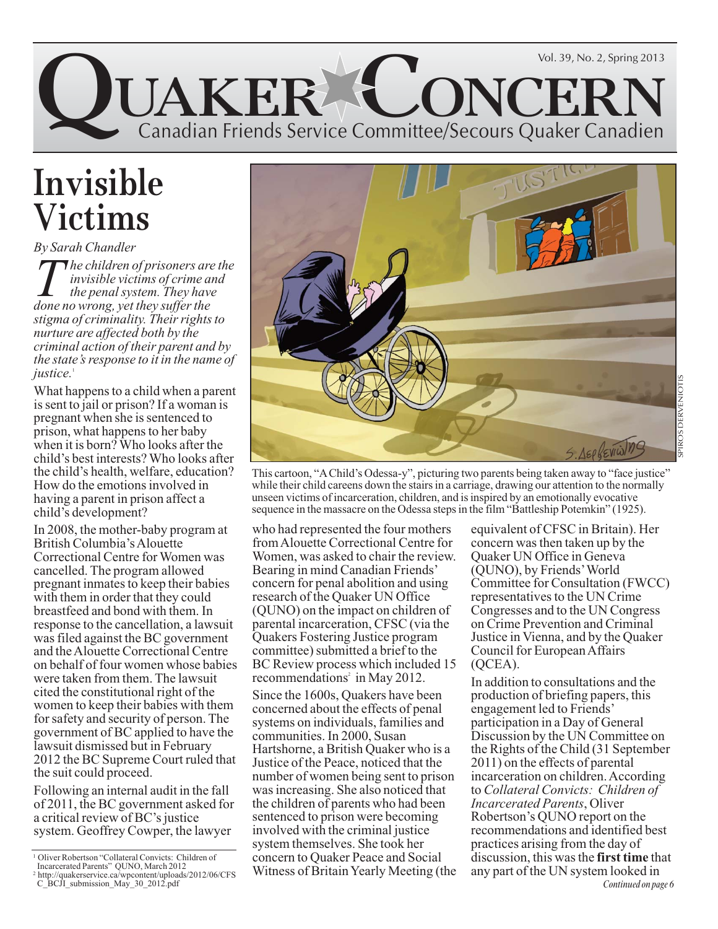

# **Invisible Victims**

*By Sarah Chandler The children of prisoners are the invisible victims of crime and the penal system. They have done no wrong, yet they suffer the stigma of criminality. Their rights to nurture are affected both by the criminal action of their parent and by the state's response to it in the name of justice.*<sup>1</sup>

What happens to a child when a parent is sent to jail or prison? If a woman is pregnant when she is sentenced to prison, what happens to her baby when it is born? Who looks after the child's best interests? Who looks after the child's health, welfare, education? How do the emotions involved in having a parent in prison affect a child's development?

In 2008, the mother-baby program at British Columbia's Alouette Correctional Centre for Women was cancelled. The program allowed pregnant inmates to keep their babies with them in order that they could breastfeed and bond with them. In response to the cancellation, a lawsuit was filed against the BC government and the Alouette Correctional Centre on behalf of four women whose babies were taken from them. The lawsuit cited the constitutional right of the women to keep their babies with them for safety and security of person. The government of BC applied to have the lawsuit dismissed but in February 2012 the BC Supreme Court ruled that the suit could proceed.

Following an internal audit in the fall of 2011, the BC government asked for a critical review of BC's justice system. Geoffrey Cowper, the lawyer





This cartoon, "A Child's Odessa-y", picturing two parents being taken away to "face justice" while their child careens down the stairs in a carriage, drawing our attention to the normally unseen victims of incarceration, children, and is inspired by an emotionally evocative sequence in the massacre on the Odessa steps in the film "Battleship Potemkin" (1925).

#### who had represented the four mothers from Alouette Correctional Centre for Women, was asked to chair the review. Bearing in mind Canadian Friends' concern for penal abolition and using research of the Quaker UN Office (QUNO) on the impact on children of parental incarceration, CFSC (via the Quakers Fostering Justice program committee) submitted a brief to the BC Review process which included 15 recommendations<sup>2</sup> in May 2012.

Since the 1600s, Quakers have been concerned about the effects of penal systems on individuals, families and communities. In 2000, Susan Hartshorne, a British Quaker who is a Justice of the Peace, noticed that the number of women being sent to prison was increasing. She also noticed that the children of parents who had been sentenced to prison were becoming involved with the criminal justice system themselves. She took her concern to Quaker Peace and Social Witness of Britain Yearly Meeting (the

equivalent of CFSC in Britain). Her concern was then taken up by the Quaker UN Office in Geneva (QUNO), by Friends' World Committee for Consultation (FWCC) representatives to the UN Crime Congresses and to the UN Congress on Crime Prevention and Criminal Justice in Vienna, and by the Quaker Council for European Affairs (QCEA).

In addition to consultations and the production of briefing papers, this engagement led to Friends' participation in a Day of General Discussion by the UN Committee on the Rights of the Child (31 September 2011) on the effects of parental incarceration on children. According to *Collateral Convicts: Children of Incarcerated Parents*, Oliver Robertson's QUNO report on the recommendations and identified best practices arising from the day of discussion, this was the **first time** that any part of the UN system looked in *Continued on page 6*

<sup>1</sup> Oliver Robertson "Collateral Convicts: Children of Incarcerated Parents" QUNO, March 2012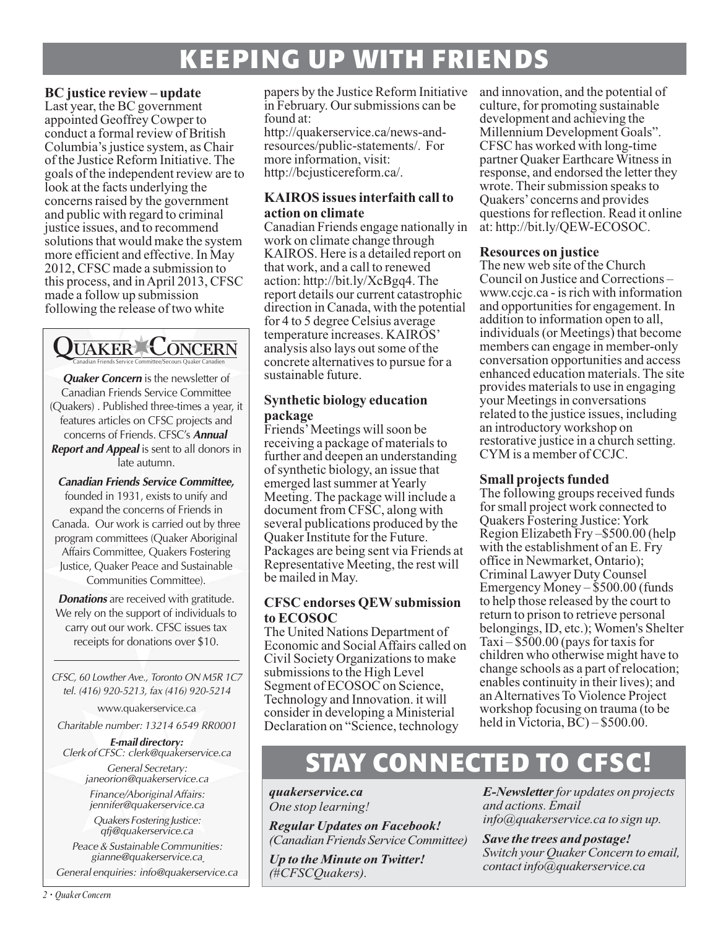# **KEEPING UP WITH FRIENDS**

#### **BC justice review – update**

Last year, the BC government appointed Geoffrey Cowper to conduct a formal review of British Columbia's justice system, as Chair of the Justice Reform Initiative. The goals of the independent review are to look at the facts underlying the concerns raised by the government and public with regard to criminal justice issues, and to recommend solutions that would make the system more efficient and effective. In May 2012, CFSC made a submission to this process, and in April 2013, CFSC made a follow up submission following the release of two white



**Quaker Concern** is the newsletter of Canadian Friends Service Committee (Quakers) . Published three-times a year, it features articles on CFSC projects and concerns of Friends. CFSC's **Annual Report and Appeal** is sent to all donors in late autumn.

**Canadian Friends Service Committee,** founded in 1931, exists to unify and expand the concerns of Friends in Canada. Our work is carried out by three program committees (Quaker Aboriginal Affairs Committee, Quakers Fostering Justice, Quaker Peace and Sustainable Communities Committee).

**Donations** are received with gratitude. We rely on the support of individuals to carry out our work. CFSC issues tax receipts for donations over \$10.

CFSC, 60 Lowther Ave., Toronto ON M5R 1C7 tel. (416) 920-5213, fax (416) 920-5214

www.quakerservice.ca

Charitable number: 13214 6549 RR0001

**E-mail directory:** Clerk of CFSC: clerk@quakerservice.ca General Secretary:

janeorion@quakerservice.ca Finance/Aboriginal Affairs: jennifer@quakerservice.ca

Quakers Fostering Justice: qfj@quakerservice.ca

Peace & Sustainable Communities: gianne@quakerservice.ca

General enquiries: info@quakerservice.ca

papers by the Justice Reform Initiative in February. Our submissions can be found at:

http://quakerservice.ca/news-andresources/public-statements/. For more information, visit: http://bcjusticereform.ca/.

### **KAIROS issues interfaith call to action on climate**

Canadian Friends engage nationally in work on climate change through KAIROS. Here is a detailed report on that work, and a call to renewed action: http://bit.ly/XcBgq4. The report details our current catastrophic direction in Canada, with the potential for 4 to 5 degree Celsius average temperature increases. KAIROS' analysis also lays out some of the concrete alternatives to pursue for a sustainable future.

## **Synthetic biology education package**

Friends' Meetings will soon be receiving a package of materials to further and deepen an understanding of synthetic biology, an issue that emerged last summer at Yearly Meeting. The package will include a document from CFSC, along with several publications produced by the Quaker Institute for the Future. Packages are being sent via Friends at Representative Meeting, the rest will be mailed in May.

### **CFSC endorses QEW submission to ECOSOC**

The United Nations Department of Economic and Social Affairs called on Civil Society Organizations to make submissions to the High Level Segment of ECOSOC on Science, Technology and Innovation. it will consider in developing a Ministerial Declaration on "Science, technology

and innovation, and the potential of culture, for promoting sustainable development and achieving the Millennium Development Goals". CFSC has worked with long-time partner Quaker Earthcare Witness in response, and endorsed the letter they wrote. Their submission speaks to Quakers' concerns and provides questions for reflection. Read it online at: http://bit.ly/QEW-ECOSOC.

### **Resources on justice**

The new web site of the Church Council on Justice and Corrections – www.ccjc.ca - is rich with information and opportunities for engagement. In addition to information open to all, individuals (or Meetings) that become members can engage in member-only conversation opportunities and access enhanced education materials. The site provides materials to use in engaging your Meetings in conversations related to the justice issues, including an introductory workshop on restorative justice in a church setting. CYM is a member of CCJC.

## **Small projects funded**

The following groups received funds for small project work connected to Quakers Fostering Justice: York Region Elizabeth Fry –\$500.00 (help with the establishment of an E. Fry office in Newmarket, Ontario); Criminal Lawyer Duty Counsel Emergency Money  $-\$500.00$  (funds to help those released by the court to return to prison to retrieve personal belongings, ID, etc.); Women's Shelter Taxi – \$500.00 (pays for taxis for children who otherwise might have to change schools as a part of relocation; enables continuity in their lives); and an Alternatives To Violence Project workshop focusing on trauma (to be held in Victoria, BC) – \$500.00.

# **STAY CONNECTED TO CF**

*quakerservice.ca One stop learning!*

*Regular Updates on Facebook! (Canadian Friends Service Committee)*

*Up to the Minute on Twitter! (#CFSCQuakers).* 

*E-Newsletterfor updates on projects and actions. Email info@quakerservice.ca to sign up.* 

*Save the trees and postage! Switch your Quaker Concern to email, contact info@quakerservice.ca*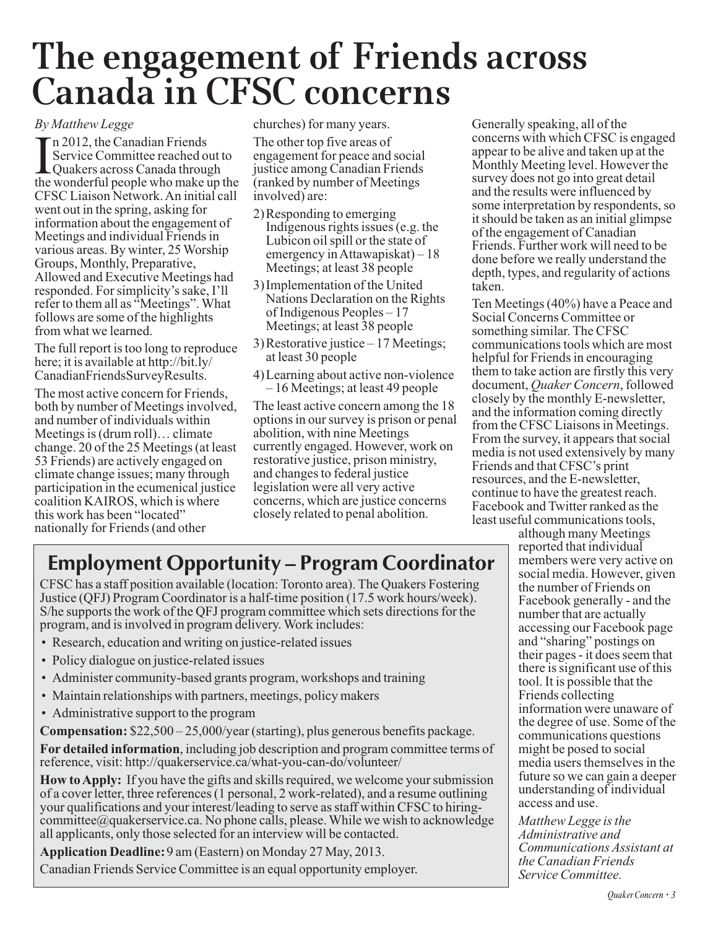# **The engagement of Friends across Canada in CFSC concerns**

#### *By Matthew Legge*

 $\prod_{\text{the}}$ n 2012, the Canadian Friends Service Committee reached out to Quakers across Canada through the wonderful people who make up the CFSC Liaison Network. An initial call went out in the spring, asking for information about the engagement of Meetings and individual Friends in various areas. By winter, 25 Worship Groups, Monthly, Preparative, Allowed and Executive Meetings had responded. For simplicity's sake, I'll refer to them all as "Meetings". What follows are some of the highlights from what we learned.

The full report is too long to reproduce here; it is available at http://bit.ly/ CanadianFriendsSurveyResults.

The most active concern for Friends, both by number of Meetings involved, and number of individuals within Meetings is (drum roll)… climate change. 20 of the 25 Meetings (at least 53 Friends) are actively engaged on climate change issues; many through participation in the ecumenical justice coalition KAIROS, which is where this work has been "located" nationally for Friends (and other

churches) for many years.

The other top five areas of engagement for peace and social justice among Canadian Friends (ranked by number of Meetings involved) are:

- 2)Responding to emerging Indigenous rights issues (e.g. the Lubicon oil spill or the state of emergency in Attawapiskat) – 18 Meetings; at least 38 people
- 3)Implementation of the United Nations Declaration on the Rights of Indigenous Peoples – 17 Meetings; at least 38 people
- 3)Restorative justice 17 Meetings; at least 30 people
- 4)Learning about active non-violence – 16 Meetings; at least 49 people

The least active concern among the 18 options in our survey is prison or penal abolition, with nine Meetings currently engaged. However, work on restorative justice, prison ministry, and changes to federal justice legislation were all very active concerns, which are justice concerns closely related to penal abolition.

Generally speaking, all of the concerns with which CFSC is engaged appear to be alive and taken up at the Monthly Meeting level. However the survey does not go into great detail and the results were influenced by some interpretation by respondents, so it should be taken as an initial glimpse of the engagement of Canadian Friends. Further work will need to be done before we really understand the depth, types, and regularity of actions taken.

Ten Meetings (40%) have a Peace and Social Concerns Committee or something similar. The CFSC communications tools which are most helpful for Friends in encouraging them to take action are firstly this very document, *Quaker Concern*, followed closely by the monthly E-newsletter, and the information coming directly from the CFSC Liaisons in Meetings. From the survey, it appears that social media is not used extensively by many Friends and that CFSC's print resources, and the E-newsletter, continue to have the greatest reach. Facebook and Twitter ranked as the least useful communications tools,

# **Employment Opportunity – Program Coordinator**

CFSC has a staff position available (location: Toronto area). The Quakers Fostering Justice (QFJ) Program Coordinator is a half-time position (17.5 work hours/week). S/he supports the work of the QFJ program committee which sets directions for the program, and is involved in program delivery. Work includes:

- Research, education and writing on justice-related issues
- Policy dialogue on justice-related issues
- Administer community-based grants program, workshops and training
- Maintain relationships with partners, meetings, policy makers
- Administrative support to the program

**Compensation:** \$22,500 – 25,000/year (starting), plus generous benefits package.

**For detailed information**, including job description and program committee terms of reference, visit: http://quakerservice.ca/what-you-can-do/volunteer/

**How to Apply:** If you have the gifts and skills required, we welcome your submission of a cover letter, three references (1 personal, 2 work-related), and a resume outlining your qualifications and your interest/leading to serve as staff within CFSC to hiringcommittee@quakerservice.ca. No phone calls, please. While we wish to acknowledge all applicants, only those selected for an interview will be contacted.

**Application Deadline:**9 am (Eastern) on Monday 27 May, 2013.

Canadian Friends Service Committee is an equal opportunity employer.

although many Meetings reported that individual members were very active on social media. However, given the number of Friends on Facebook generally - and the number that are actually accessing our Facebook page and "sharing" postings on their pages - it does seem that there is significant use of this tool. It is possible that the Friends collecting information were unaware of the degree of use. Some of the communications questions might be posed to social media users themselves in the future so we can gain a deeper understanding of individual access and use.

*Matthew Legge is the Administrative and Communications Assistant at the Canadian Friends Service Committee.*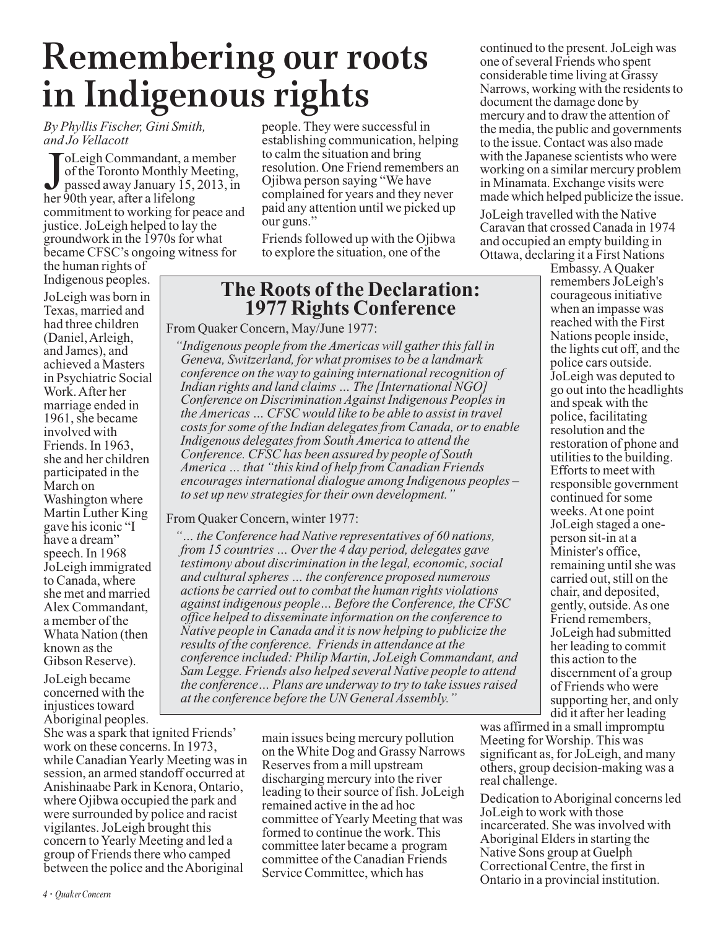# **Remembering our roots in Indigenous rights**

*By Phyllis Fischer, Gini Smith, and Jo Vellacott*

Joleigh Commandant, a r<br>of the Toronto Monthly N<br>passed away January 15,<br>her 90th year, after a lifelong oLeigh Commandant, a member of the Toronto Monthly Meeting, passed away January 15, 2013, in commitment to working for peace and justice. JoLeigh helped to lay the groundwork in the 1970s for what became CFSC's ongoing witness for the human rights of

Indigenous peoples. JoLeigh was born in Texas, married and had three children (Daniel, Arleigh, and James), and achieved a Masters in Psychiatric Social Work. After her marriage ended in 1961, she became involved with Friends. In 1963, she and her children participated in the March on Washington where Martin Luther King gave his iconic "I have a dream" speech. In 1968 JoLeigh immigrated to Canada, where she met and married Alex Commandant, a member of the Whata Nation (then known as the Gibson Reserve).

JoLeigh became concerned with the injustices toward Aboriginal peoples.

She was a spark that ignited Friends' work on these concerns. In 1973, while Canadian Yearly Meeting was in session, an armed standoff occurred at Anishinaabe Park in Kenora, Ontario, where Ojibwa occupied the park and were surrounded by police and racist vigilantes. JoLeigh brought this concern to Yearly Meeting and led a group of Friends there who camped between the police and the Aboriginal

people. They were successful in establishing communication, helping to calm the situation and bring resolution. One Friend remembers an Ojibwa person saying "We have complained for years and they never paid any attention until we picked up our guns."

Friends followed up with the Ojibwa to explore the situation, one of the

## **The Roots of the Declaration: 1977 Rights Conference**

From Quaker Concern, May/June 1977:

*"Indigenous people from the Americas will gather this fall in Geneva, Switzerland, for what promises to be a landmark conference on the way to gaining international recognition of Indian rights and land claims … The [International NGO] Conference on Discrimination Against Indigenous Peoples in the Americas … CFSC would like to be able to assist in travel costs for some of the Indian delegates from Canada, or to enable Indigenous delegates from South America to attend the Conference. CFSC has been assured by people of South America … that "this kind of help from Canadian Friends encourages international dialogue among Indigenous peoples – to set up new strategies for their own development."*

From Quaker Concern, winter 1977:

*"… the Conference had Native representatives of 60 nations, from 15 countries … Over the 4 day period, delegates gave testimony about discrimination in the legal, economic, social and cultural spheres … the conference proposed numerous actions be carried out to combat the human rights violations against indigenous people… Before the Conference, the CFSC office helped to disseminate information on the conference to Native people in Canada and it is now helping to publicize the results of the conference. Friends in attendance at the conference included: Philip Martin, JoLeigh Commandant, and Sam Legge. Friends also helped several Native people to attend the conference… Plans are underway to try to take issues raised at the conference before the UN General Assembly."*

> main issues being mercury pollution on the White Dog and Grassy Narrows Reserves from a mill upstream discharging mercury into the river leading to their source of fish. JoLeigh remained active in the ad hoc committee of Yearly Meeting that was formed to continue the work. This committee later became a program committee of the Canadian Friends Service Committee, which has

continued to the present. JoLeigh was one of several Friends who spent considerable time living at Grassy Narrows, working with the residents to document the damage done by mercury and to draw the attention of the media, the public and governments to the issue. Contact was also made with the Japanese scientists who were working on a similar mercury problem in Minamata. Exchange visits were made which helped publicize the issue.

JoLeigh travelled with the Native Caravan that crossed Canada in 1974 and occupied an empty building in Ottawa, declaring it a First Nations

Embassy. A Quaker remembers JoLeigh's courageous initiative when an impasse was reached with the First Nations people inside, the lights cut off, and the police cars outside. JoLeigh was deputed to go out into the headlights and speak with the police, facilitating resolution and the restoration of phone and utilities to the building. Efforts to meet with responsible government continued for some weeks. At one point JoLeigh staged a oneperson sit-in at a Minister's office, remaining until she was carried out, still on the chair, and deposited, gently, outside. As one Friend remembers, JoLeigh had submitted her leading to commit this action to the discernment of a group of Friends who were supporting her, and only did it after her leading

was affirmed in a small impromptu Meeting for Worship. This was significant as, for JoLeigh, and many others, group decision-making was a real challenge.

Dedication to Aboriginal concerns led JoLeigh to work with those incarcerated. She was involved with Aboriginal Elders in starting the Native Sons group at Guelph Correctional Centre, the first in Ontario in a provincial institution.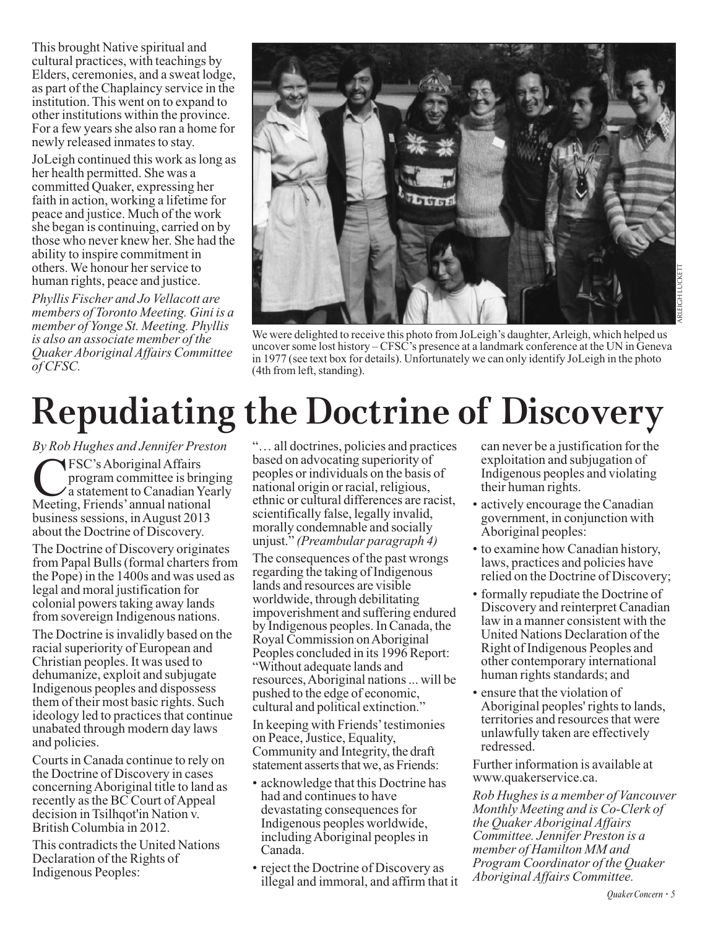This brought Native spiritual and cultural practices, with teachings by Elders, ceremonies, and a sweat lodge, as part of the Chaplaincy service in the institution. This went on to expand to other institutions within the province. For a few years she also ran a home for newly released inmates to stay.

JoLeigh continued this work as long as her health permitted. She was a committed Quaker, expressing her faith in action, working a lifetime for peace and justice. Much of the work she began is continuing, carried on by those who never knew her. She had the ability to inspire commitment in others. We honour her service to human rights, peace and justice.

*Phyllis Fischer and Jo Vellacott are members of Toronto Meeting. Gini is a member of Yonge St. Meeting. Phyllis is also an associate member of the Quaker Aboriginal Affairs Committee of CFSC.*



We were delighted to receive this photo from JoLeigh's daughter, Arleigh, which helped us uncover some lost history – CFSC's presence at a landmark conference at the UN in Geneva in 1977 (see text box for details). Unfortunately we can only identify JoLeigh in the photo (4th from left, standing).

# **Repudiating the Doctrine of Discovery**

*By Rob Hughes and Jennifer Preston*

**CFSC's Aboriginal Affairs**<br>program committee is bri<br>a statement to Canadian Y<br>Meeting. Friends' annual nation program committee is bringing a statement to Canadian Yearly Meeting, Friends' annual national business sessions, in August 2013 about the Doctrine of Discovery.

The Doctrine of Discovery originates from Papal Bulls (formal charters from the Pope) in the 1400s and was used as legal and moral justification for colonial powers taking away lands from sovereign Indigenous nations.

The Doctrine is invalidly based on the racial superiority of European and Christian peoples. It was used to dehumanize, exploit and subjugate Indigenous peoples and dispossess them of their most basic rights. Such ideology led to practices that continue unabated through modern day laws and policies.

Courts in Canada continue to rely on the Doctrine of Discovery in cases concerning Aboriginal title to land as recently as the BC Court of Appeal decision in Tsilhqot'in Nation v. British Columbia in 2012.

This contradicts the United Nations Declaration of the Rights of Indigenous Peoples:

"… all doctrines, policies and practices based on advocating superiority of peoples or individuals on the basis of national origin or racial, religious, ethnic or cultural differences are racist, scientifically false, legally invalid, morally condemnable and socially unjust." *(Preambular paragraph 4)*

The consequences of the past wrongs regarding the taking of Indigenous lands and resources are visible worldwide, through debilitating impoverishment and suffering endured by Indigenous peoples. In Canada, the Royal Commission on Aboriginal Peoples concluded in its 1996 Report: "Without adequate lands and resources, Aboriginal nations ... will be pushed to the edge of economic, cultural and political extinction."

In keeping with Friends' testimonies on Peace, Justice, Equality, Community and Integrity, the draft statement asserts that we, as Friends:

- acknowledge that this Doctrine has had and continues to have devastating consequences for Indigenous peoples worldwide, including Aboriginal peoples in Canada.
- reject the Doctrine of Discovery as illegal and immoral, and affirm that it

can never be a justification for the exploitation and subjugation of Indigenous peoples and violating their human rights.

- actively encourage the Canadian government, in conjunction with Aboriginal peoples:
- to examine how Canadian history, laws, practices and policies have relied on the Doctrine of Discovery;
- formally repudiate the Doctrine of Discovery and reinterpret Canadian law in a manner consistent with the United Nations Declaration of the Right of Indigenous Peoples and other contemporary international human rights standards; and
- ensure that the violation of Aboriginal peoples' rights to lands, territories and resources that were unlawfully taken are effectively redressed.

Further information is available at www.quakerservice.ca.

*Rob Hughes is a member of Vancouver Monthly Meeting and is Co-Clerk of the Quaker Aboriginal Affairs Committee. Jennifer Preston is a member of Hamilton MM and Program Coordinator of the Quaker Aboriginal Affairs Committee.*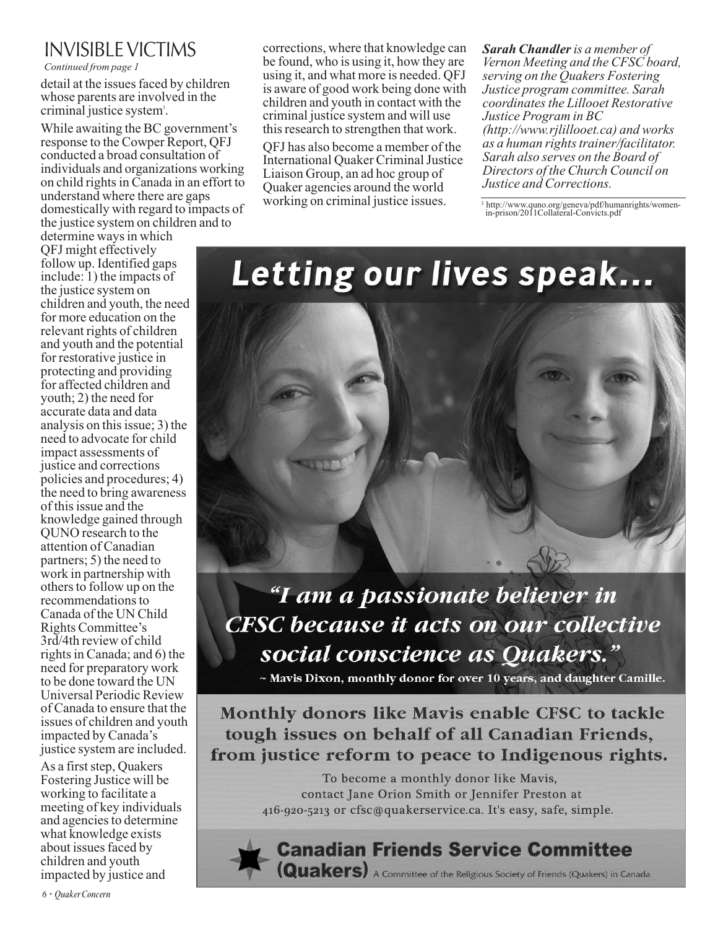## INVISIBLE VICTIMS

*Continued from page 1*

detail at the issues faced by children whose parents are involved in the criminal justice system<sup>3</sup>.

While awaiting the BC government's response to the Cowper Report, QFJ conducted a broad consultation of individuals and organizations working on child rights in Canada in an effort to understand where there are gaps domestically with regard to impacts of the justice system on children and to

determine ways in which QFJ might effectively follow up. Identified gaps include: 1) the impacts of the justice system on children and youth, the need for more education on the relevant rights of children and youth and the potential for restorative justice in protecting and providing for affected children and youth; 2) the need for accurate data and data analysis on this issue; 3) the need to advocate for child impact assessments of justice and corrections policies and procedures; 4) the need to bring awareness of this issue and the knowledge gained through QUNO research to the attention of Canadian partners; 5) the need to work in partnership with others to follow up on the recommendations to Canada of the UN Child Rights Committee's 3rd/4th review of child rights in Canada; and 6) the need for preparatory work to be done toward the UN Universal Periodic Review of Canada to ensure that the issues of children and youth impacted by Canada's justice system are included.

As a first step, Quakers Fostering Justice will be working to facilitate a meeting of key individuals and agencies to determine what knowledge exists about issues faced by children and youth impacted by justice and

corrections, where that knowledge can be found, who is using it, how they are using it, and what more is needed. QFJ is aware of good work being done with children and youth in contact with the criminal justice system and will use this research to strengthen that work.

QFJ has also become a member of the International Quaker Criminal Justice Liaison Group, an ad hoc group of Quaker agencies around the world working on criminal justice issues.

*Sarah Chandleris a member of Vernon Meeting and the CFSC board, serving on the Quakers Fostering Justice program committee. Sarah coordinates the Lillooet Restorative Justice Program in BC (http://www.rjlillooet.ca) and works as a human rights trainer/facilitator. Sarah also serves on the Board of Directors of the Church Council on Justice and Corrections.* 

<sup>3</sup> http://www.quno.org/geneva/pdf/humanrights/womenin-prison/2011Collateral-Convicts.pdf

# Letting our lives speak...



# "I am a passionate believer in **CFSC because it acts on our collective** social conscience as Quakers."

~ Mavis Dixon, monthly donor for over 10 years, and daughter Camille.

Monthly donors like Mavis enable CFSC to tackle tough issues on behalf of all Canadian Friends, from justice reform to peace to Indigenous rights.

> To become a monthly donor like Mavis, contact Jane Orion Smith or Jennifer Preston at 416-920-5213 or cfsc@quakerservice.ca. It's easy, safe, simple.

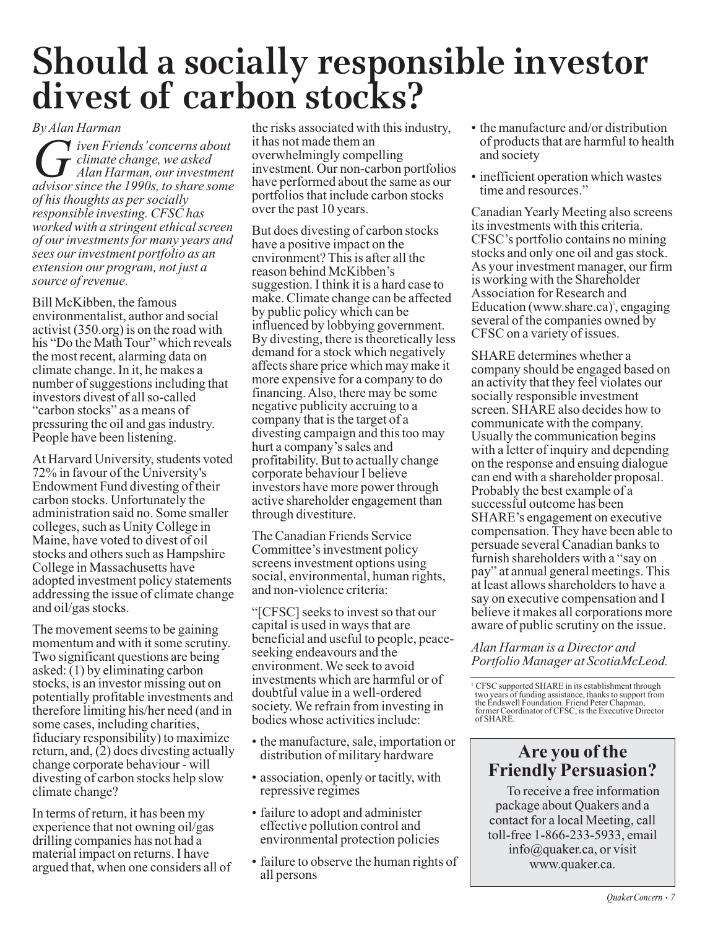# **Should a socially responsible investor divest of carbon stocks?**

#### *By Alan Harman*

*G iven Friends'* concerns about<br>*G dimate change, we asked*<br>*Alan Harman, our investmen*<br>*advisor since the 1990s, to share some climate change, we asked Alan Harman, our investment advisor since the 1990s, to share some of his thoughts as per socially responsible investing. CFSC has worked with a stringent ethical screen of our investments for many years and sees our investment portfolio as an extension our program, not just a source of revenue.* 

Bill McKibben, the famous environmentalist, author and social activist (350.org) is on the road with his "Do the Math Tour" which reveals the most recent, alarming data on climate change. In it, he makes a number of suggestions including that investors divest of all so-called "carbon stocks" as a means of pressuring the oil and gas industry. People have been listening.

At Harvard University, students voted 72% in favour of the University's Endowment Fund divesting of their carbon stocks. Unfortunately the administration said no. Some smaller colleges, such as Unity College in Maine, have voted to divest of oil stocks and others such as Hampshire College in Massachusetts have adopted investment policy statements addressing the issue of climate change and oil/gas stocks.

The movement seems to be gaining momentum and with it some scrutiny. Two significant questions are being asked:  $(1)$  by eliminating carbon stocks, is an investor missing out on potentially profitable investments and therefore limiting his/her need (and in some cases, including charities, fiduciary responsibility) to maximize return, and, (2) does divesting actually change corporate behaviour - will divesting of carbon stocks help slow climate change?

In terms of return, it has been my experience that not owning oil/gas drilling companies has not had a material impact on returns. I have argued that, when one considers all of the risks associated with this industry, it has not made them an overwhelmingly compelling investment. Our non-carbon portfolios have performed about the same as our portfolios that include carbon stocks over the past 10 years.

But does divesting of carbon stocks have a positive impact on the environment? This is after all the reason behind McKibben's suggestion. I think it is a hard case to make. Climate change can be affected by public policy which can be influenced by lobbying government. By divesting, there is theoretically less demand for a stock which negatively affects share price which may make it more expensive for a company to do financing. Also, there may be some negative publicity accruing to a company that is the target of a divesting campaign and this too may hurt a company's sales and profitability. But to actually change corporate behaviour I believe investors have more power through active shareholder engagement than through divestiture.

The Canadian Friends Service Committee's investment policy screens investment options using social, environmental, human rights, and non-violence criteria:

"[CFSC] seeks to invest so that our capital is used in ways that are beneficial and useful to people, peaceseeking endeavours and the environment. We seek to avoid investments which are harmful or of doubtful value in a well-ordered society. We refrain from investing in bodies whose activities include:

- the manufacture, sale, importation or distribution of military hardware
- association, openly or tacitly, with repressive regimes
- failure to adopt and administer effective pollution control and environmental protection policies
- failure to observe the human rights of all persons
- the manufacture and/or distribution of products that are harmful to health and society
- inefficient operation which wastes time and resources."

Canadian Yearly Meeting also screens its investments with this criteria. CFSC's portfolio contains no mining stocks and only one oil and gas stock. As your investment manager, our firm is working with the Shareholder Association for Research and Education (www.share.ca)<sup>'</sup>, engaging several of the companies owned by CFSC on a variety of issues.

SHARE determines whether a company should be engaged based on an activity that they feel violates our socially responsible investment screen. SHARE also decides how to communicate with the company. Usually the communication begins with a letter of inquiry and depending on the response and ensuing dialogue can end with a shareholder proposal. Probably the best example of a successful outcome has been SHARE's engagement on executive compensation. They have been able to persuade several Canadian banks to furnish shareholders with a "say on pay" at annual general meetings. This at least allows shareholders to have a say on executive compensation and I believe it makes all corporations more aware of public scrutiny on the issue.

*Alan Harman is a Director and Portfolio Manager at ScotiaMcLeod.* 

<sup>1</sup> CFSC supported SHARE in its establishment through two years of funding assistance, thanks to support from the Endswell Foundation. Friend Peter Chapman, former Coordinator of CFSC, is the Executive Director of SHARE.

## **Are you of the Friendly Persuasion?**

To receive a free information package about Quakers and a contact for a local Meeting, call toll-free 1-866-233-5933, email info@quaker.ca, or visit www.quaker.ca.